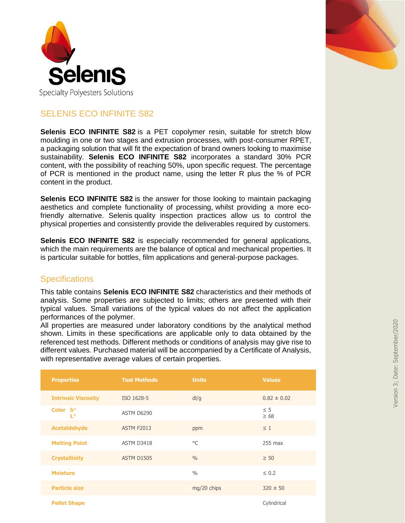



**Selenis ECO INFINITE S82** is a PET copolymer resin, suitable for stretch blow moulding in one or two stages and extrusion processes, with post-consumer RPET, a packaging solution that will fit the expectation of brand owners looking to maximise sustainability. **Selenis ECO INFINITE S82** incorporates a standard 30% PCR content, with the possibility of reaching 50%, upon specific request. The percentage of PCR is mentioned in the product name, using the letter R plus the % of PCR content in the product.

**Selenis ECO INFINITE S82** is the answer for those looking to maintain packaging aesthetics and complete functionality of processing, whilst providing a more ecofriendly alternative. Selenis quality inspection practices allow us to control the physical properties and consistently provide the deliverables required by customers.

**Selenis ECO INFINITE S82** is especially recommended for general applications, which the main requirements are the balance of optical and mechanical properties. It is particular suitable for bottles, film applications and general-purpose packages.

#### **Specifications**

This table contains **Selenis ECO INFINITE S82** characteristics and their methods of analysis. Some properties are subjected to limits; others are presented with their typical values. Small variations of the typical values do not affect the application performances of the polymer.

All properties are measured under laboratory conditions by the analytical method shown. Limits in these specifications are applicable only to data obtained by the referenced test methods. Different methods or conditions of analysis may give rise to different values. Purchased material will be accompanied by a Certificate of Analysis, with representative average values of certain properties.

| <b>Properties</b>          | <b>Test Methods</b> | <b>Units</b>  | <b>Values</b>         |
|----------------------------|---------------------|---------------|-----------------------|
| <b>Intrinsic Viscosity</b> | ISO 1628-5          | dl/g          | $0.82 \pm 0.02$       |
| Color $b^*$<br>$L^*$       | ASTM D6290          |               | $\leq$ 5<br>$\geq 68$ |
| <b>Acetaldehyde</b>        | <b>ASTM F2013</b>   | ppm           | $\leq 1$              |
| <b>Melting Point</b>       | ASTM D3418          | $^{\circ}$ C  | $255$ max             |
| <b>Crystallinity</b>       | <b>ASTM D1505</b>   | 0/0           | $\geq 50$             |
| <b>Moisture</b>            |                     | $\frac{0}{0}$ | $\leq 0.2$            |
| <b>Particle size</b>       |                     | mg/20 chips   | $320 \pm 50$          |
| <b>Pellet Shape</b>        |                     |               | Cylindrical           |